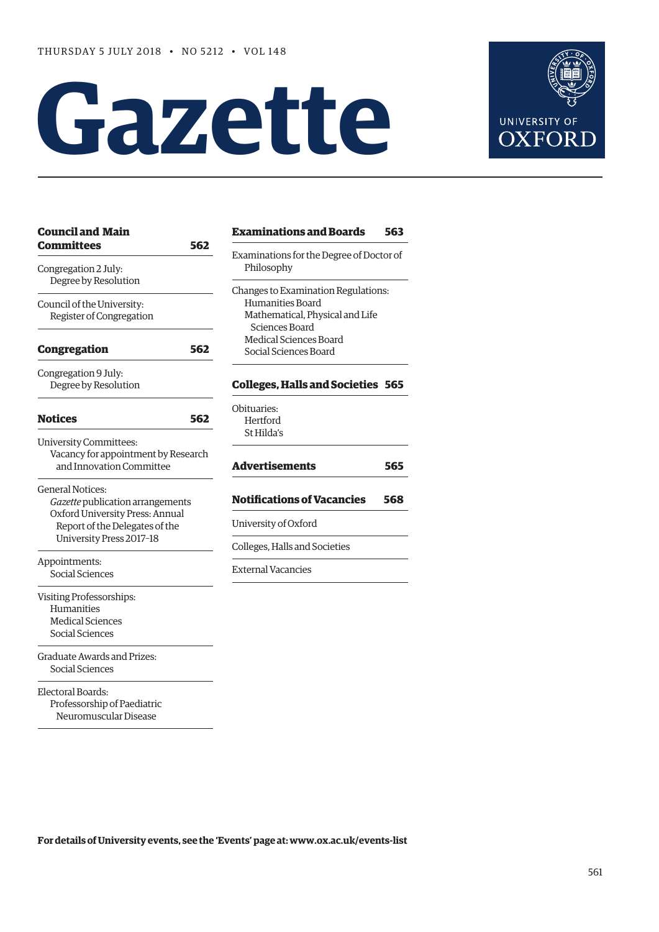# **Gazette**



| <b>Council and Main</b>                      |     | <b>Examinatio</b>     |
|----------------------------------------------|-----|-----------------------|
| <b>Committees</b>                            | 562 | Examinations f        |
|                                              |     | Philosophy            |
| Congregation 2 July:<br>Degree by Resolution |     |                       |
|                                              |     | Changes to Exa        |
| Council of the University:                   |     | Humanities            |
| Register of Congregation                     |     | Mathematic            |
|                                              |     | Sciences B            |
|                                              |     | Medical Scie          |
| <b>Congregation</b>                          | 562 | Social Scien          |
| Congregation 9 July:                         |     |                       |
| Degree by Resolution                         |     | <b>Colleges, Ha</b>   |
|                                              |     | Obituaries:           |
| <b>Notices</b>                               | 562 | Hertford              |
|                                              |     | St Hilda's            |
| <b>University Committees:</b>                |     |                       |
| Vacancy for appointment by Research          |     |                       |
| and Innovation Committee                     |     | <b>Advertisem</b>     |
| General Notices:                             |     |                       |
| Gazette publication arrangements             |     | Notification          |
| Oxford University Press: Annual              |     |                       |
| Report of the Delegates of the               |     | University of O       |
| University Press 2017-18                     |     | Colleges, Halls       |
| Appointments:                                |     |                       |
| Social Sciences                              |     | <b>External Vacan</b> |
|                                              |     |                       |
| Visiting Professorships:                     |     |                       |
| Humanities                                   |     |                       |
| <b>Medical Sciences</b>                      |     |                       |
| Social Sciences                              |     |                       |
| Graduate Awards and Prizes:                  |     |                       |
| Social Sciences                              |     |                       |
| Electoral Boards:                            |     |                       |
| Professorship of Paediatric                  |     |                       |
| Neuromuscular Disease                        |     |                       |
|                                              |     |                       |

| <b>Examinations and Boards</b>                         | 563 |
|--------------------------------------------------------|-----|
| Examinations for the Degree of Doctor of<br>Philosophy |     |
| Changes to Examination Regulations:                    |     |
| Humanities Board                                       |     |
| Mathematical, Physical and Life                        |     |
| Sciences Board                                         |     |
| Medical Sciences Board                                 |     |
| Social Sciences Board                                  |     |
| <b>Colleges, Halls and Societies 565</b>               |     |
| Obituaries:                                            |     |
| Hertford                                               |     |
| St Hilda's                                             |     |
|                                                        |     |
|                                                        |     |
| <b>Advertisements</b>                                  | 565 |
| <b>Notifications of Vacancies</b>                      | 568 |
| University of Oxford                                   |     |
| Colleges, Halls and Societies                          |     |

**For details of University events, see the 'Events' page at: [www.ox.ac.uk/events-list](http://www.ox.ac.uk/events-list)**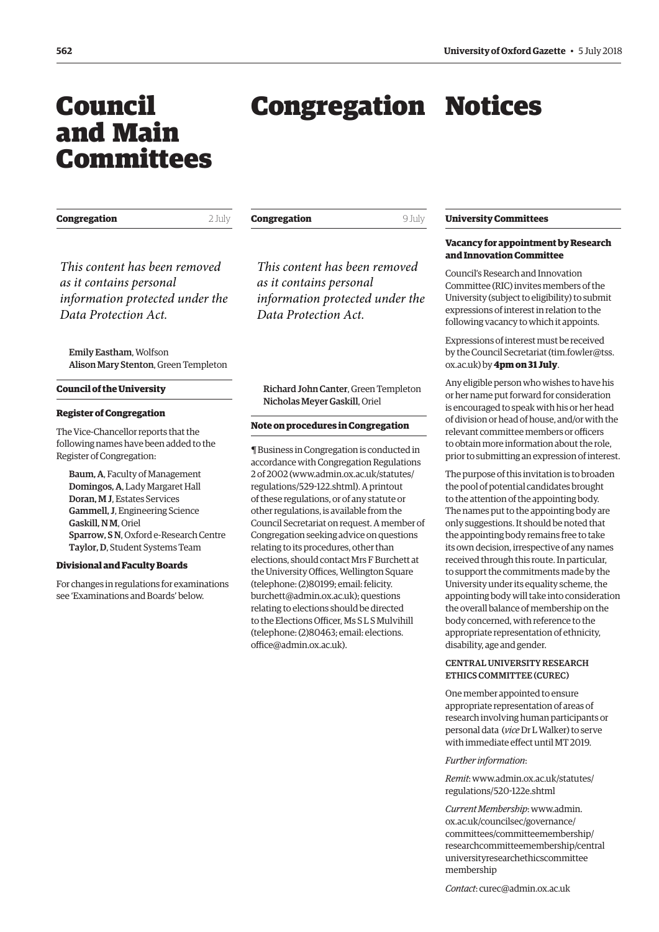## <span id="page-1-0"></span>Council and Main Committees

# Congregation Notices

| Congregation                                                                                                        | 2 July | Congregation<br>9 July                                                                                              |                                                                   |
|---------------------------------------------------------------------------------------------------------------------|--------|---------------------------------------------------------------------------------------------------------------------|-------------------------------------------------------------------|
| This content has been removed<br>as it contains personal<br>information protected under the<br>Data Protection Act. |        | This content has been removed<br>as it contains personal<br>information protected under the<br>Data Protection Act. | Vacan<br>and In<br>Counci<br>Comm<br>Univer<br>expres:<br>followi |
| <b>Emily Eastham, Wolfson</b><br>Alison Mary Stenton, Green Templeton                                               |        |                                                                                                                     | <b>Expres</b><br>by the                                           |
| <b>Council of the University</b>                                                                                    |        | Richard John Canter, Green Templeton                                                                                |                                                                   |

#### **Register of Congregation**

The Vice-Chancellor reports that the following names have been added to the Register of Congregation:

Baum, A, Faculty of Management Domingos, A, Lady Margaret Hall Doran, M J, Estates Services Gammell, J, Engineering Science Gaskill, N M, Oriel Sparrow, S N, Oxford e-Research Centre Taylor, D, Student Systems Team

#### **Divisional and Faculty Boards**

For changes in regulations for examinations see 'Examinations and Boards' below.

Nicholas Meyer Gaskill, Oriel

#### **Note on procedures in Congregation**

¶ Business in Congregation is conducted in accordance with Congregation Regulations 2 of 2002 [\(www.admin.ox.ac.uk/statutes/](http://www.admin.ox.ac.uk/statutes/regulations/529-122.shtml) [regulations/529-122.shtml\). A p](http://www.admin.ox.ac.uk/statutes/regulations/529-122.shtml)rintout of these regulations, or of any statute or other regulations, is available from the Council Secretariat on request. A member of Congregation seeking advice on questions relating to its procedures, other than elections, should contact Mrs F Burchett at the University Offices, Wellington Square (telephone: (2)80199; email: felicity. [burchett@admin.ox.ac.uk\); questions](mailto:felicity.burchett@admin.ox.ac.uk)  relating to elections should be directed to the Elections Officer, Ms S L S Mulvihill [\(telephone: \(2\)80463; email: elections.](mailto:elections.office@admin.ox.ac.uk) office@admin.ox.ac.uk).

#### **University Committees**

#### **Vacancy for appointment by Research and Innovation Committee**

il's Research and Innovation ittee (RIC) invites members of the sity (subject to eligibility) to submit sions of interest in relation to the ing vacancy to which it appoints.

sions of interest must be received Council Secretariat [\(tim.fowler@tss.](mailto:tim.fowler@tss.ox.ac.uk) k) by **4pm on 31 July**.

gible person who wishes to have his name put forward for consideration is encouraged to speak with his or her head of division or head of house, and/or with the relevant committee members or officers to obtain more information about the role, prior to submitting an expression of interest.

The purpose of this invitation is to broaden the pool of potential candidates brought to the attention of the appointing body. The names put to the appointing body are only suggestions. It should be noted that the appointing body remains free to take its own decision, irrespective of any names received through this route. In particular, to support the commitments made by the University under its equality scheme, the appointing body will take into consideration the overall balance of membership on the body concerned, with reference to the appropriate representation of ethnicity, disability, age and gender.

#### CENTRAL UNIVERSITY RESEARCH ETHICS COMMITTEE (CUREC)

One member appointed to ensure appropriate representation of areas of research involving human participants or personal data (*vice* Dr L Walker) to serve with immediate effect until MT 2019.

#### *Further information*:

*Remit*[: www.admin.ox.ac.uk/statutes/](www.admin.ox.ac.uk/statutes/regulations/520-122e.shtml) regulations/520-122e.shtml

*Current Membership*: www.admin. ox.ac.uk/councilsec/governance/ committees/committeemembership/ [researchcommitteemembership/central](www.admin.ox.ac.uk/councilsec/governance/committees/committeemembership/researchcommitteemembership/centraluniversityresearchethicscommitteemembership)  universityresearchethicscommittee membership

*Contact*: [curec@admin.ox.ac.uk](mailto:curec@admin.ox.ac.uk)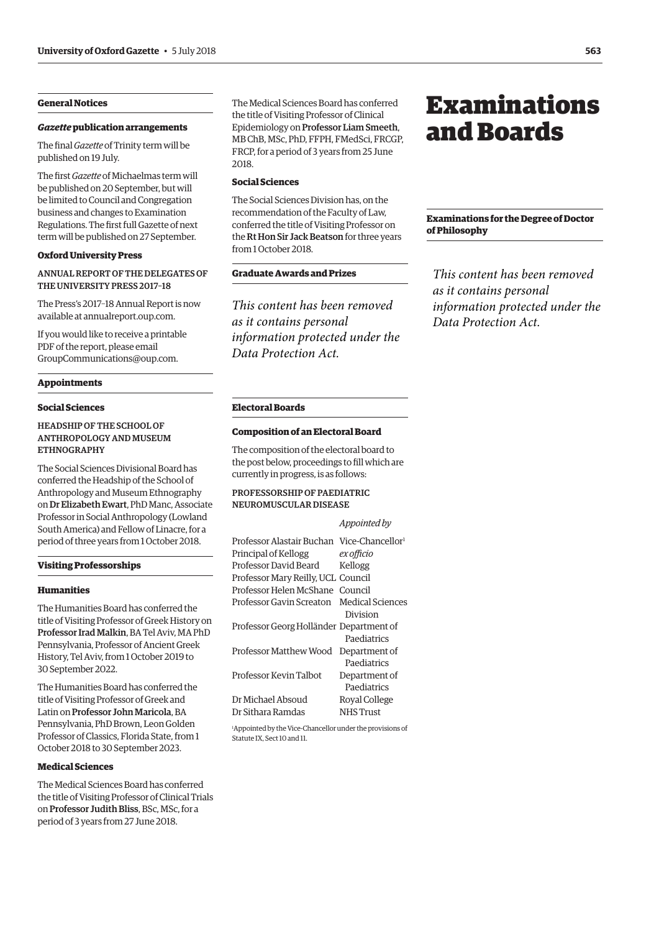#### <span id="page-2-0"></span>**General Notices**

#### *Gazette* **publication arrangements**

The final *Gazette* of Trinity term will be published on 19 July.

The first *Gazette* of Michaelmas term will be published on 20 September, but will be limited to Council and Congregation business and changes to Examination Regulations. The first full Gazette of next term will be published on 27 September.

#### **Oxford University Press**

#### ANNUAL REPORT OF THE DELEGATES OF THE UNIVERSITY PRESS 2017–18

The Press's 2017–18 Annual Report is now available a[t annualreport.oup.com.](https://annualreport.oup.com)

If you would like to receive a printable PDF of the report, please email [GroupCommunications@oup.com.](mailto:GroupCommunications@oup.com)

#### **Appointments**

#### **Social Sciences**

#### HEADSHIP OF THE SCHOOL OF ANTHROPOLOGY AND MUSEUM ETHNOGRAPHY

The Social Sciences Divisional Board has conferred the Headship of the School of Anthropology and Museum Ethnography on Dr Elizabeth Ewart, PhD Manc, Associate Professor in Social Anthropology (Lowland South America) and Fellow of Linacre, for a period of three years from 1 October 2018.

#### **Visiting Professorships**

#### **Humanities**

The Humanities Board has conferred the title of Visiting Professor of Greek History on Professor Irad Malkin, BA Tel Aviv, MA PhD Pennsylvania, Professor of Ancient Greek History, Tel Aviv, from 1 October 2019 to 30 September 2022.

The Humanities Board has conferred the title of Visiting Professor of Greek and Latin on Professor John Maricola, BA Pennsylvania, PhD Brown, Leon Golden Professor of Classics, Florida State, from 1 October 2018 to 30 September 2023.

#### **Medical Sciences**

The Medical Sciences Board has conferred the title of Visiting Professor of Clinical Trials on Professor Judith Bliss, BSc, MSc, for a period of 3 years from 27 June 2018.

The Medical Sciences Board has conferred the title of Visiting Professor of Clinical Epidemiology on Professor Liam Smeeth, MB ChB, MSc, PhD, FFPH, FMedSci, FRCGP, FRCP, for a period of 3 years from 25 June 2018.

#### **Social Sciences**

The Social Sciences Division has, on the recommendation of the Faculty of Law, conferred the title of Visiting Professor on the Rt Hon Sir Jack Beatson for three years from 1 October 2018.

#### **Graduate Awards and Prizes**

*This content has been removed as it contains personal information protected under the Data Protection Act.*

## Examinations and Boards

#### **Examinations for the Degree of Doctor of Philosophy**

*This content has been removed as it contains personal information protected under the Data Protection Act.*

#### **Electoral Boards**

#### **Composition of an Electoral Board**

The composition of the electoral board to the post below, proceedings to fill which are currently in progress, is as follows:

#### PROFESSORSHIP OF PAEDIATRIC NEUROMUSCULAR DISEASE

#### *Appointed by*

| Professor Alastair Buchan Vice-Chancellor <sup>1</sup> |                  |
|--------------------------------------------------------|------------------|
| Principal of Kellogg                                   | ex officio       |
| Professor David Beard                                  | Kellogg          |
| Professor Mary Reilly, UCL Council                     |                  |
| Professor Helen McShane Council                        |                  |
| Professor Gavin Screaton Medical Sciences              |                  |
|                                                        | Division         |
| Professor Georg Holländer Department of                |                  |
|                                                        | Paediatrics      |
| Professor Matthew Wood                                 | Department of    |
|                                                        | Paediatrics      |
| Professor Kevin Talbot                                 | Department of    |
|                                                        | Paediatrics      |
| Dr Michael Absoud                                      | Royal College    |
| Dr Sithara Ramdas                                      | <b>NHS</b> Trust |

1 Appointed by the Vice-Chancellor under the provisions of Statute IX, Sect 10 and 11.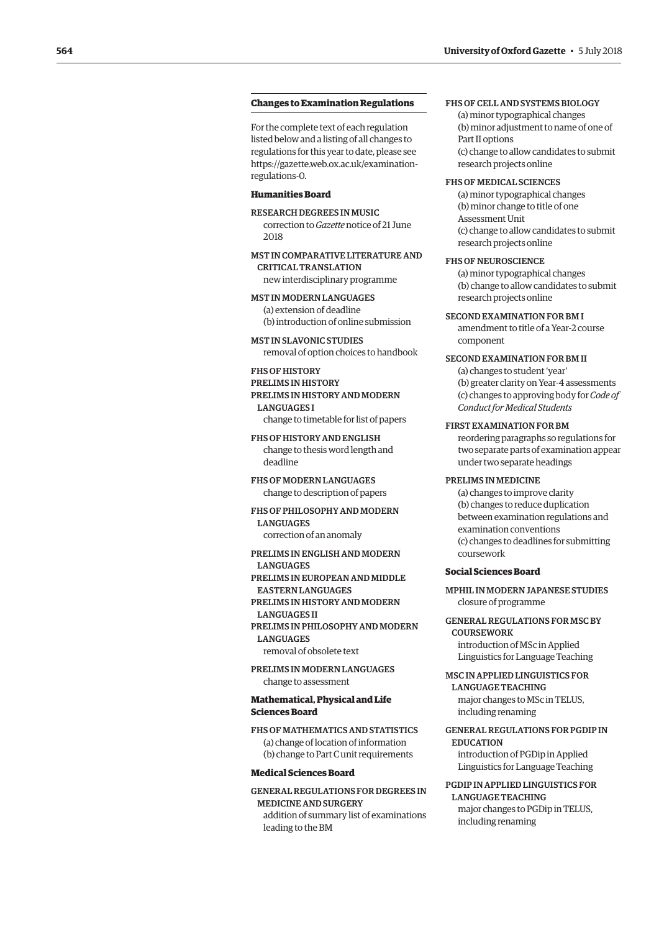#### **Changes to Examination Regulations**

For the complete text of each regulation listed below and a listing of all changes to regulations for this year to date, please see [https://gazette.web.ox.ac.uk/examination](https://gazette.web.ox.ac.uk/examination-regulations-0)regulations-0.

#### **Humanities Board**

RESEARCH DEGREES IN MUSIC correction to *Gazette* notice of 21 June 2018

MST IN COMPARATIVE LITERATURE AND CRITICAL TRANSLATION new interdisciplinary programme

MST IN MODERN LANGUAGES (a) extension of deadline (b) introduction of online submission

MST IN SLAVONIC STUDIES removal of option choices to handbook

### FHS OF HISTORY

PRELIMS IN HISTORY PRELIMS IN HISTORY AND MODERN LANGUAGES I

change to timetable for list of papers

FHS OF HISTORY AND ENGLISH change to thesis word length and deadline

FHS OF MODERN LANGUAGES change to description of papers

#### FHS OF PHILOSOPHY AND MODERN **LANGUAGES**

correction of an anomaly

PRELIMS IN ENGLISH AND MODERN **LANGUAGES** PRELIMS IN EUROPEAN AND MIDDLE EASTERN LANGUAGES PRELIMS IN HISTORY AND MODERN LANGUAGES II PRELIMS IN PHILOSOPHY AND MODERN **LANGUAGES** removal of obsolete text

PRELIMS IN MODERN LANGUAGES change to assessment

#### **Mathematical, Physical and Life Sciences Board**

FHS OF MATHEMATICS AND STATISTICS (a) change of location of information (b) change to Part C unit requirements

#### **Medical Sciences Board**

GENERAL REGULATIONS FOR DEGREES IN MEDICINE AND SURGERY addition of summary list of examinations leading to the BM

#### FHS OF CELL AND SYSTEMS BIOLOGY

(a) minor typographical changes (b) minor adjustment to name of one of Part II options (c) change to allow candidates to submit research projects online

#### FHS OF MEDICAL SCIENCES

(a) minor typographical changes (b) minor change to title of one Assessment Unit (c) change to allow candidates to submit research projects online

#### FHS OF NEUROSCIENCE

(a) minor typographical changes (b) change to allow candidates to submit research projects online

#### SECOND EXAMINATION FOR BM I

amendment to title of a Year-2 course component

#### SECOND EXAMINATION FOR BM II

(a) changes to student 'year' (b) greater clarity on Year-4 assessments (c) changes to approving body for *Code of Conduct for Medical Students*

#### FIRST EXAMINATION FOR BM

reordering paragraphs so regulations for two separate parts of examination appear under two separate headings

#### PRELIMS IN MEDICINE

(a) changes to improve clarity (b) changes to reduce duplication between examination regulations and examination conventions (c) changes to deadlines for submitting coursework

#### **Social Sciences Board**

MPHIL IN MODERN JAPANESE STUDIES closure of programme

GENERAL REGULATIONS FOR MSC BY **COURSEWORK** 

introduction of MSc in Applied Linguistics for Language Teaching

#### MSC IN APPLIED LINGUISTICS FOR LANGUAGE TEACHING

major changes to MSc in TELUS, including renaming

#### GENERAL REGULATIONS FOR PGDIP IN EDUCATION

introduction of PGDip in Applied Linguistics for Language Teaching

#### PGDIP IN APPLIED LINGUISTICS FOR LANGUAGE TEACHING

major changes to PGDip in TELUS, including renaming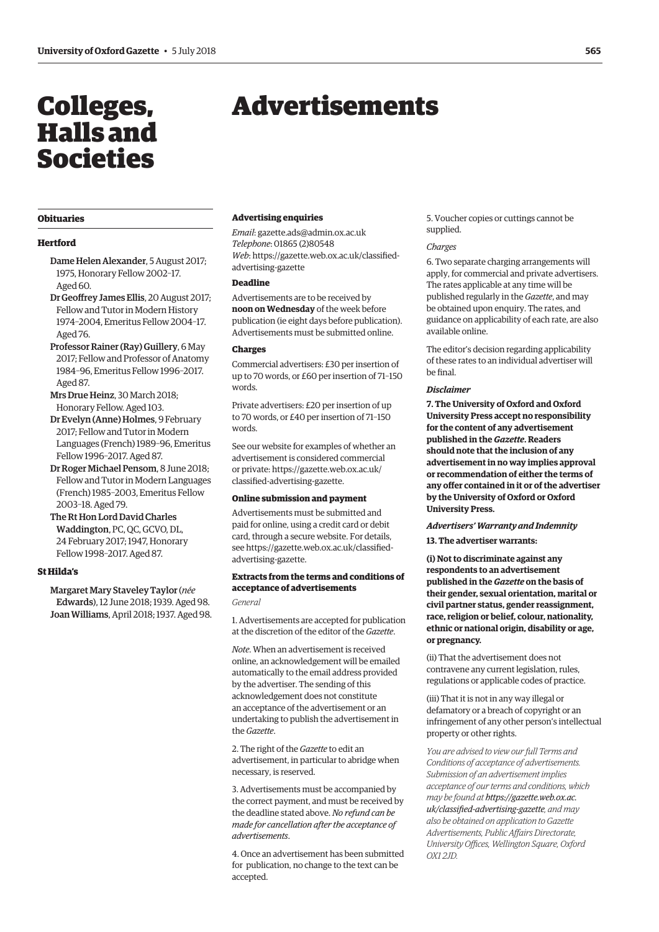## <span id="page-4-0"></span>Colleges, Halls and Societies

## Advertisements

#### **Obituaries**

#### **Hertford**

- Dame Helen Alexander, 5 August 2017; 1975, Honorary Fellow 2002–17. Aged 60.
- Dr Geoffrey James Ellis, 20 August 2017; Fellow and Tutor in Modern History 1974–2004, Emeritus Fellow 2004–17. Aged 76.
- Professor Rainer (Ray) Guillery, 6 May 2017; Fellow and Professor of Anatomy 1984–96, Emeritus Fellow 1996–2017. Aged 87.
- Mrs Drue Heinz, 30 March 2018; Honorary Fellow. Aged 103.
- Dr Evelyn (Anne) Holmes, 9 February 2017; Fellow and Tutor in Modern Languages (French) 1989–96, Emeritus Fellow 1996–2017. Aged 87.
- Dr Roger Michael Pensom, 8 June 2018; Fellow and Tutor in Modern Languages (French) 1985–2003, Emeritus Fellow 2003–18. Aged 79.
- The Rt Hon Lord David Charles Waddington, PC, QC, GCVO, DL, 24 February 2017; 1947, Honorary Fellow 1998–2017. Aged 87.

#### **St Hilda's**

Margaret Mary Staveley Taylor (*née* Edwards), 12 June 2018; 1939. Aged 98. Joan Williams, April 2018; 1937. Aged 98.

#### **Advertising enquiries**

*Email*: [gazette.ads@admin.ox.ac.uk](mailto:gazette.ads@admin.ox.ac.uk) *Telephone*: 01865 (2)80548 *Web*[: https://gazette.web.ox.ac.uk/classified](https://gazette.web.ox.ac.uk/classified-advertising-gazette)advertising-gazette

#### **Deadline**

Advertisements are to be received by **noon on Wednesday** of the week before publication (ie eight days before publication). Advertisements must be submitted online.

#### **Charges**

Commercial advertisers: £30 per insertion of up to 70 words, or £60 per insertion of 71–150 words.

Private advertisers: £20 per insertion of up to 70 words, or £40 per insertion of 71–150 words.

See our website for examples of whether an advertisement is considered commercial [or private: https://gazette.web.ox.ac.uk/](https://gazette.web.ox.ac.uk/classified-advertising-gazette) classified-advertising-gazette.

#### **Online submission and payment**

Advertisements must be submitted and paid for online, using a credit card or debit card, through a secure website. For details, [see https://gazette.web.ox.ac.uk/classified](https://gazette.web.ox.ac.uk/classified-advertising-gazette)advertising-gazette.

#### **Extracts from the terms and conditions of acceptance of advertisements**

*General*

1. Advertisements are accepted for publication at the discretion of the editor of the *Gazette*.

*Note*. When an advertisement is received online, an acknowledgement will be emailed automatically to the email address provided by the advertiser. The sending of this acknowledgement does not constitute an acceptance of the advertisement or an undertaking to publish the advertisement in the *Gazette*.

2. The right of the *Gazette* to edit an advertisement, in particular to abridge when necessary, is reserved.

3. Advertisements must be accompanied by the correct payment, and must be received by the deadline stated above. *No refund can be made for cancellation after the acceptance of advertisements*.

4. Once an advertisement has been submitted for publication, no change to the text can be accepted.

5. Voucher copies or cuttings cannot be supplied.

#### *Charges*

6. Two separate charging arrangements will apply, for commercial and private advertisers. The rates applicable at any time will be published regularly in the *Gazette*, and may be obtained upon enquiry. The rates, and guidance on applicability of each rate, are also available online.

The editor's decision regarding applicability of these rates to an individual advertiser will be final.

#### *Disclaimer*

**7. The University of Oxford and Oxford University Press accept no responsibility for the content of any advertisement published in the** *Gazette***. Readers should note that the inclusion of any advertisement in no way implies approval or recommendation of either the terms of any offer contained in it or of the advertiser by the University of Oxford or Oxford University Press.**

## *Advertisers' Warranty and Indemnity*

**13. The advertiser warrants:**

**(i) Not to discriminate against any respondents to an advertisement published in the** *Gazette* **on the basis of their gender, sexual orientation, marital or civil partner status, gender reassignment, race, religion or belief, colour, nationality, ethnic or national origin, disability or age, or pregnancy.**

(ii) That the advertisement does not contravene any current legislation, rules, regulations or applicable codes of practice.

(iii) That it is not in any way illegal or defamatory or a breach of copyright or an infringement of any other person's intellectual property or other rights.

*You are advised to view our full Terms and Conditions of acceptance of advertisements. Submission of an advertisement implies acceptance of our terms and conditions, which may be found at https://gazette.web.ox.ac. [uk/classified-advertising-gazette](https://gazette.web.ox.ac.uk/classified-advertising-gazette), and may also be obtained on application to Gazette Advertisements, Public Affairs Directorate, University Offices, Wellington Square, Oxford OX1 2JD.*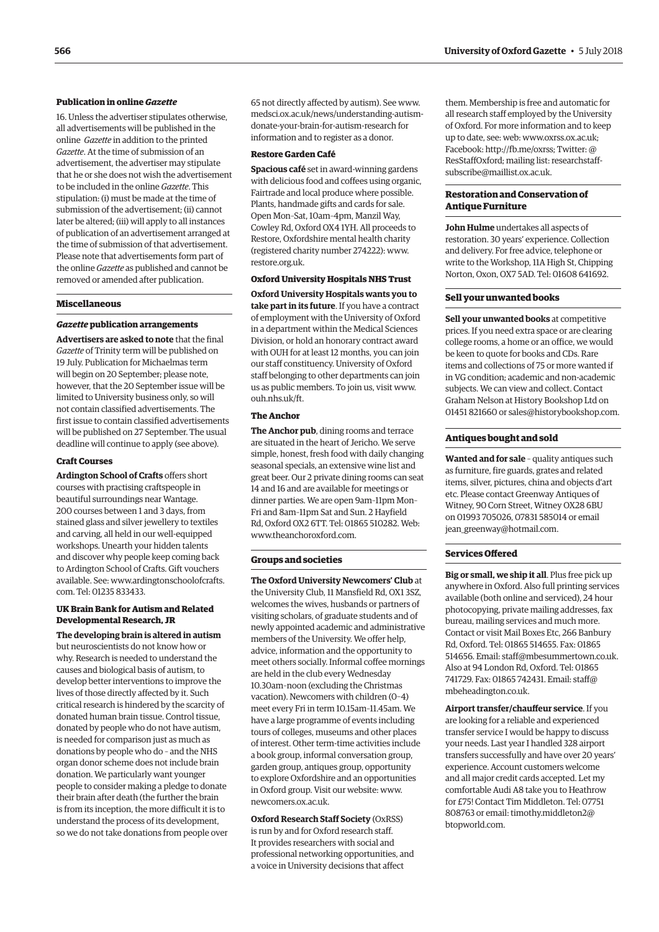#### **Publication in online** *Gazette*

16. Unless the advertiser stipulates otherwise, all advertisements will be published in the online *Gazette* in addition to the printed *Gazette*. At the time of submission of an advertisement, the advertiser may stipulate that he or she does not wish the advertisement to be included in the online *Gazette*. This stipulation: (i) must be made at the time of submission of the advertisement; (ii) cannot later be altered; (iii) will apply to all instances of publication of an advertisement arranged at the time of submission of that advertisement. Please note that advertisements form part of the online *Gazette* as published and cannot be removed or amended after publication.

#### **Miscellaneous**

#### *Gazette* **publication arrangements**

**Advertisers are asked to note** that the final *Gazette* of Trinity term will be published on 19 July. Publication for Michaelmas term will begin on 20 September; please note, however, that the 20 September issue will be limited to University business only, so will not contain classified advertisements. The first issue to contain classified advertisements will be published on 27 September. The usual deadline will continue to apply (see above).

#### **Craft Courses**

**Ardington School of Crafts** offers short courses with practising craftspeople in beautiful surroundings near Wantage. 200 courses between 1 and 3 days, from stained glass and silver jewellery to textiles and carving, all held in our well-equipped workshops. Unearth your hidden talents and discover why people keep coming back to Ardington School of Crafts. Gift vouchers [available. See: www.ardingtonschoolofcrafts.](www.ardingtonschoolofcrafts.com) com. Tel: 01235 833433.

#### **UK Brain Bank for Autism and Related Developmental Research, JR**

**The developing brain is altered in autism** but neuroscientists do not know how or why. Research is needed to understand the causes and biological basis of autism, to develop better interventions to improve the lives of those directly affected by it. Such critical research is hindered by the scarcity of donated human brain tissue. Control tissue, donated by people who do not have autism, is needed for comparison just as much as donations by people who do – and the NHS organ donor scheme does not include brain donation. We particularly want younger people to consider making a pledge to donate their brain after death (the further the brain is from its inception, the more difficult it is to understand the process of its development, so we do not take donations from people over 65 not directly affected by autism). See www. [medsci.ox.ac.uk/news/understanding-autism](https://grand.tghn.org/autism-brain-bank/)donate-your-brain-for-autism-research for information and to register as a donor.

#### **Restore Garden Café**

**Spacious café** set in award-winning gardens with delicious food and coffees using organic, Fairtrade and local produce where possible. Plants, handmade gifts and cards for sale. Open Mon–Sat, 10am–4pm, Manzil Way, Cowley Rd, Oxford OX4 1YH. All proceeds to Restore, Oxfordshire mental health charity (registered charity number 274222): [www.](http://www.restore.org.uk) [restore.org.uk.](http://www.restore.org.uk)

#### **Oxford University Hospitals NHS Trust**

**Oxford University Hospitals wants you to take part in its future**. If you have a contract of employment with the University of Oxford in a department within the Medical Sciences Division, or hold an honorary contract award with OUH for at least 12 months, you can join our staff constituency. University of Oxford staff belonging to other departments can join us as public members. To join us, visit [www.](http://www.ouh.nhs.uk/ft)  $\sinh$ <sub>nhs</sub> $\sin k$ /ft.

#### **The Anchor**

**The Anchor pub**, dining rooms and terrace are situated in the heart of Jericho. We serve simple, honest, fresh food with daily changing seasonal specials, an extensive wine list and great beer. Our 2 private dining rooms can seat 14 and 16 and are available for meetings or dinner parties. We are open 9am–11pm Mon– Fri and 8am–11pm Sat and Sun. 2 Hayfield Rd, Oxford OX2 6TT. Tel: 01865 510282. Web: [www.theanchoroxford.com.](http://www.theanchoroxford.com)

#### **Groups and societies**

**The Oxford University Newcomers' Club** at the University Club, 11 Mansfield Rd, OX1 3SZ, welcomes the wives, husbands or partners of visiting scholars, of graduate students and of newly appointed academic and administrative members of the University. We offer help, advice, information and the opportunity to meet others socially. Informal coffee mornings are held in the club every Wednesday 10.30am–noon (excluding the Christmas vacation). Newcomers with children (0–4) meet every Fri in term 10.15am–11.45am. We have a large programme of events including tours of colleges, museums and other places of interest. Other term-time activities include a book group, informal conversation group, garden group, antiques group, opportunity to explore Oxfordshire and an opportunities in Oxford group. Visit our website: [www.](http://www.newcomers.ox.ac.uk) [newcomers.ox.ac.uk.](http://www.newcomers.ox.ac.uk) 

**Oxford Research Staff Society** (OxRSS) is run by and for Oxford research staff. It provides researchers with social and professional networking opportunities, and a voice in University decisions that affect

them. Membership is free and automatic for all research staff employed by the University of Oxford. For more information and to keep up to date, see: web: [www.oxrss.ox.ac.uk;](http://www.oxrss.ox.ac.uk)  Facebook: [http://fb.me/oxrss; Tw](http://fb.me/oxrss)itter: @ [ResStaffOxford; mailing list: researchstaff](mailto:researchstaff-subscribe@maillist.ox.ac.uk)subscribe@maillist.ox.ac.uk.

#### **Restoration and Conservation of Antique Furniture**

**John Hulme** undertakes all aspects of restoration. 30 years' experience. Collection and delivery. For free advice, telephone or write to the Workshop, 11A High St, Chipping Norton, Oxon, OX7 5AD. Tel: 01608 641692.

#### **Sell your unwanted books**

**Sell your unwanted books** at competitive prices. If you need extra space or are clearing college rooms, a home or an office, we would be keen to quote for books and CDs. Rare items and collections of 75 or more wanted if in VG condition; academic and non-academic subjects. We can view and collect. Contact Graham Nelson at History Bookshop Ltd on 01451 821660 or [sales@historybookshop.com.](mailto:sales@historybookshop.com)

#### **Antiques bought and sold**

**Wanted and for sale** – quality antiques such as furniture, fire guards, grates and related items, silver, pictures, china and objects d'art etc. Please contact Greenway Antiques of Witney, 90 Corn Street, Witney OX28 6BU on 01993 705026, 07831 585014 or email jean greenway@hotmail.com.

#### **Services Offered**

**Big or small, we ship it all**. Plus free pick up anywhere in Oxford. Also full printing services available (both online and serviced), 24 hour photocopying, private mailing addresses, fax bureau, mailing services and much more. Contact or visit Mail Boxes Etc, 266 Banbury Rd, Oxford. Tel: 01865 514655. Fax: 01865 514656. Email: [staff@mbesummertown.co.uk.](mailto:staff@mbesummertown.co.uk)  Also at 94 London Rd, Oxford. Tel: 01865 [741729. Fax: 01865 742431. Email: staff@](mailto:staff@mbeheadington.co.uk) mbeheadington.co.uk.

**Airport transfer/chauffeur service**. If you are looking for a reliable and experienced transfer service I would be happy to discuss your needs. Last year I handled 328 airport transfers successfully and have over 20 years' experience. Account customers welcome and all major credit cards accepted. Let my comfortable Audi A8 take you to Heathrow for £75! Contact Tim Middleton. Tel: 07751 [808763 or email: timothy.middleton2@](mailto:timothy.middleton2@btopworld.com) btopworld.com.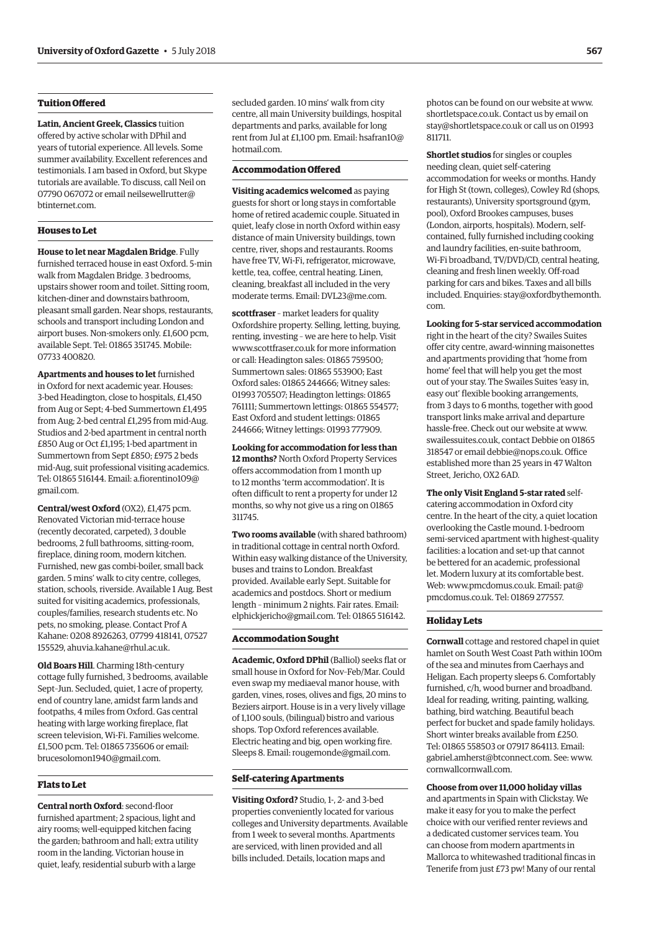#### **Tuition Offered**

**Latin, Ancient Greek, Classics** tuition offered by active scholar with DPhil and years of tutorial experience. All levels. Some summer availability. Excellent references and testimonials. I am based in Oxford, but Skype tutorials are available. To discuss, call Neil on [07790 067072 or email neilsewellrutter@](mailto:neilsewellrutter@btinternet.com) btinternet.com.

#### **Houses to Let**

**House to let near Magdalen Bridge**. Fully furnished terraced house in east Oxford. 5-min walk from Magdalen Bridge. 3 bedrooms, upstairs shower room and toilet. Sitting room, kitchen-diner and downstairs bathroom, pleasant small garden. Near shops, restaurants, schools and transport including London and airport buses. Non-smokers only. £1,600 pcm, available Sept. Tel: 01865 351745. Mobile: 07733 400820.

**Apartments and houses to let** furnished in Oxford for next academic year. Houses: 3-bed Headington, close to hospitals, £1,450 from Aug or Sept; 4-bed Summertown £1,495 from Aug; 2-bed central £1,295 from mid-Aug. Studios and 2-bed apartment in central north £850 Aug or Oct £1,195; 1-bed apartment in Summertown from Sept £850; £975 2 beds mid-Aug, suit professional visiting academics. [Tel: 01865 516144. Email: a.fiorentino109@](mailto:a.fiorentino109@gmail.com) gmail.com.

**Central/west Oxford** (OX2), £1,475 pcm. Renovated Victorian mid-terrace house (recently decorated, carpeted), 3 double bedrooms, 2 full bathrooms, sitting-room, fireplace, dining room, modern kitchen. Furnished, new gas combi-boiler, small back garden. 5 mins' walk to city centre, colleges, station, schools, riverside. Available 1 Aug. Best suited for visiting academics, professionals, couples/families, research students etc. No pets, no smoking, please. Contact Prof A Kahane: 0208 8926263, 07799 418141, 07527 155529, [ahuvia.kahane@rhul.ac.uk.](mailto:ahuvia.kahane@rhul.ac.uk)

**Old Boars Hill**. Charming 18th-century cottage fully furnished, 3 bedrooms, available Sept–Jun. Secluded, quiet, 1 acre of property, end of country lane, amidst farm lands and footpaths, 4 miles from Oxford. Gas central heating with large working fireplace, flat screen television, Wi-Fi. Families welcome. £1,500 pcm. Tel: 01865 735606 or email: [brucesolomon1940@gmail.com.](mailto:brucesolomon1940@gmail.com)

#### **Flats to Let**

**Central north Oxford**: second-floor furnished apartment; 2 spacious, light and airy rooms; well-equipped kitchen facing the garden; bathroom and hall; extra utility room in the landing. Victorian house in quiet, leafy, residential suburb with a large

secluded garden. 10 mins' walk from city centre, all main University buildings, hospital departments and parks, available for long [rent from Jul at £1,100 pm. Email: hsafran10@](mailto:hsafran10@hotmail.com) hotmail.com.

#### **Accommodation Offered**

**Visiting academics welcomed** as paying guests for short or long stays in comfortable home of retired academic couple. Situated in quiet, leafy close in north Oxford within easy distance of main University buildings, town centre, river, shops and restaurants. Rooms have free TV, Wi-Fi, refrigerator, microwave, kettle, tea, coffee, central heating. Linen, cleaning, breakfast all included in the very moderate terms. Email: [DVL23@me.com.](mailto:DVL23@me.com)

**scottfraser** – market leaders for quality Oxfordshire property. Selling, letting, buying, renting, investing – we are here to help. Visit [www.scottfraser.co.uk fo](http://www.scottfraser.co.uk)r more information or call: Headington sales: 01865 759500; Summertown sales: 01865 553900; East Oxford sales: 01865 244666; Witney sales: 01993 705507; Headington lettings: 01865 761111; Summertown lettings: 01865 554577; East Oxford and student lettings: 01865 244666; Witney lettings: 01993 777909.

**Looking for accommodation for less than 12 months?** North Oxford Property Services offers accommodation from 1 month up to 12 months 'term accommodation'. It is often difficult to rent a property for under 12 months, so why not give us a ring on 01865 311745.

**Two rooms available** (with shared bathroom) in traditional cottage in central north Oxford. Within easy walking distance of the University, buses and trains to London. Breakfast provided. Available early Sept. Suitable for academics and postdocs. Short or medium length – minimum 2 nights. Fair rates. Email: [elphickjericho@gmail.com. Te](mailto:elphickjericho@gmail.com)l: 01865 516142.

#### **Accommodation Sought**

**Academic, Oxford DPhil** (Balliol) seeks flat or small house in Oxford for Nov–Feb/Mar. Could even swap my mediaeval manor house, with garden, vines, roses, olives and figs, 20 mins to Beziers airport. House is in a very lively village of 1,100 souls, (bilingual) bistro and various shops. Top Oxford references available. Electric heating and big, open working fire. Sleeps 8. Email: [rougemonde@gmail.com.](mailto:rougemonde@gmail.com)

#### **Self-catering Apartments**

**Visiting Oxford?** Studio, 1-, 2- and 3-bed properties conveniently located for various colleges and University departments. Available from 1 week to several months. Apartments are serviced, with linen provided and all bills included. Details, location maps and

photos can be found on our website at [www.](http://www.shortletspace.co.uk) [shortletspace.co.uk. Co](http://www.shortletspace.co.uk)ntact us by email on [stay@shortletspace.co.uk or](mailto:stay@shortletspace.co.uk) call us on 01993 811711.

**Shortlet studios** for singles or couples needing clean, quiet self-catering accommodation for weeks or months. Handy for High St (town, colleges), Cowley Rd (shops, restaurants), University sportsground (gym, pool), Oxford Brookes campuses, buses (London, airports, hospitals). Modern, selfcontained, fully furnished including cooking and laundry facilities, en-suite bathroom, Wi-Fi broadband, TV/DVD/CD, central heating, cleaning and fresh linen weekly. Off-road parking for cars and bikes. Taxes and all bills [included. Enquiries: stay@oxfordbythemonth.](mailto:stay@oxfordbythemonth.com) com.

**Looking for 5-star serviced accommodation**

right in the heart of the city? Swailes Suites offer city centre, award-winning maisonettes and apartments providing that 'home from home' feel that will help you get the most out of your stay. The Swailes Suites 'easy in, easy out' flexible booking arrangements, from 3 days to 6 months, together with good transport links make arrival and departure hassle-free. Check out our website at [www.](http://www.swailessuites.co.uk) [swailessuites.co.uk, co](http://www.swailessuites.co.uk)ntact Debbie on 01865 318547 or email [debbie@nops.co.uk. Of](mailto:debbie@nops.co.uk)fice established more than 25 years in 47 Walton Street, Jericho, OX2 6AD.

**The only Visit England 5-star rated** selfcatering accommodation in Oxford city centre. In the heart of the city, a quiet location overlooking the Castle mound. 1-bedroom semi-serviced apartment with highest-quality facilities: a location and set-up that cannot be bettered for an academic, professional let. Modern luxury at its comfortable best. Web: [www.pmcdomus.co.uk. Em](http://www.pmcdomus.co.uk)ail: pat@ [pmcdomus.co.uk. Tel: 0](mailto:pat@pmcdomus.co.uk)1869 277557.

#### **Holiday Lets**

**Cornwall** cottage and restored chapel in quiet hamlet on South West Coast Path within 100m of the sea and minutes from Caerhays and Heligan. Each property sleeps 6. Comfortably furnished, c/h, wood burner and broadband. Ideal for reading, writing, painting, walking, bathing, bird watching. Beautiful beach perfect for bucket and spade family holidays. Short winter breaks available from £250. Tel: 01865 558503 or 07917 864113. Email: [gabriel.amherst@btconnect.com. Se](mailto:gabriel.amherst@btconnect.com)e: [www.](http://www.cornwallcornwall.com) [cornwallcornwall.com.](http://www.cornwallcornwall.com)

#### **Choose from over 11,000 holiday villas**

and apartments in Spain with Clickstay. We make it easy for you to make the perfect choice with our verified renter reviews and a dedicated customer services team. You can choose from modern apartments in Mallorca to whitewashed traditional fincas in Tenerife from just £73 pw! Many of our rental